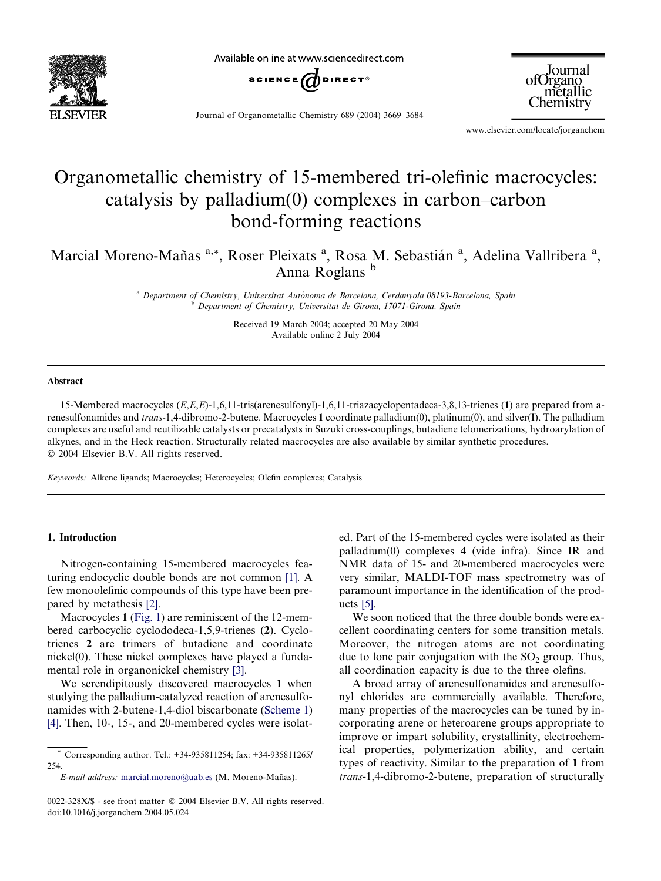

Available online at www.sciencedirect.com



Journal ofOrgano metallic Chemistry

Journal of Organometallic Chemistry 689 (2004) 3669–3684

www.elsevier.com/locate/jorganchem

# Organometallic chemistry of 15-membered tri-olefinic macrocycles: catalysis by palladium(0) complexes in carbon–carbon bond-forming reactions

Marcial Moreno-Mañas<sup>a,\*</sup>, Roser Pleixats<sup>a</sup>, Rosa M. Sebastián<sup>a</sup>, Adelina Vallribera<sup>a</sup>, Anna Roglans <sup>b</sup>

> <sup>a</sup> Department of Chemistry, Universitat Autònoma de Barcelona, Cerdanyola 08193-Barcelona, Spain <sup>b</sup> Department of Chemistry, Universitat de Girona, 17071-Girona, Spain

> > Received 19 March 2004; accepted 20 May 2004 Available online 2 July 2004

#### Abstract

15-Membered macrocycles (E,E,E)-1,6,11-tris(arenesulfonyl)-1,6,11-triazacyclopentadeca-3,8,13-trienes (1) are prepared from arenesulfonamides and trans-1,4-dibromo-2-butene. Macrocycles 1 coordinate palladium(0), platinum(0), and silver(I). The palladium complexes are useful and reutilizable catalysts or precatalysts in Suzuki cross-couplings, butadiene telomerizations, hydroarylation of alkynes, and in the Heck reaction. Structurally related macrocycles are also available by similar synthetic procedures. 2004 Elsevier B.V. All rights reserved.

Keywords: Alkene ligands; Macrocycles; Heterocycles; Olefin complexes; Catalysis

## 1. Introduction

Nitrogen-containing 15-membered macrocycles featuring endocyclic double bonds are not common [\[1\].](#page-14-0) A few monoolefinic compounds of this type have been prepared by metathesis [\[2\]](#page-14-0).

Macrocycles 1 ([Fig. 1](#page-1-0)) are reminiscent of the 12-membered carbocyclic cyclododeca-1,5,9-trienes (2). Cyclotrienes 2 are trimers of butadiene and coordinate nickel(0). These nickel complexes have played a fundamental role in organonickel chemistry [\[3\].](#page-14-0)

We serendipitously discovered macrocycles 1 when studying the palladium-catalyzed reaction of arenesulfonamides with 2-butene-1,4-diol biscarbonate [\(Scheme 1](#page-1-0)) [\[4\].](#page-14-0) Then, 10-, 15-, and 20-membered cycles were isolat-

E-mail address: [marcial.moreno@uab.es](mailto:marcial.moreno@uab.es ) (M. Moreno-Mañas).

ed. Part of the 15-membered cycles were isolated as their palladium(0) complexes 4 (vide infra). Since IR and NMR data of 15- and 20-membered macrocycles were very similar, MALDI-TOF mass spectrometry was of paramount importance in the identification of the products [\[5\]](#page-14-0).

We soon noticed that the three double bonds were excellent coordinating centers for some transition metals. Moreover, the nitrogen atoms are not coordinating due to lone pair conjugation with the  $SO<sub>2</sub>$  group. Thus, all coordination capacity is due to the three olefins.

A broad array of arenesulfonamides and arenesulfonyl chlorides are commercially available. Therefore, many properties of the macrocycles can be tuned by incorporating arene or heteroarene groups appropriate to improve or impart solubility, crystallinity, electrochemical properties, polymerization ability, and certain types of reactivity. Similar to the preparation of 1 from trans-1,4-dibromo-2-butene, preparation of structurally

<sup>\*</sup> Corresponding author. Tel.: +34-935811254; fax: +34-935811265/ 254.

<sup>0022-328</sup>X/\$ - see front matter © 2004 Elsevier B.V. All rights reserved. doi:10.1016/j.jorganchem.2004.05.024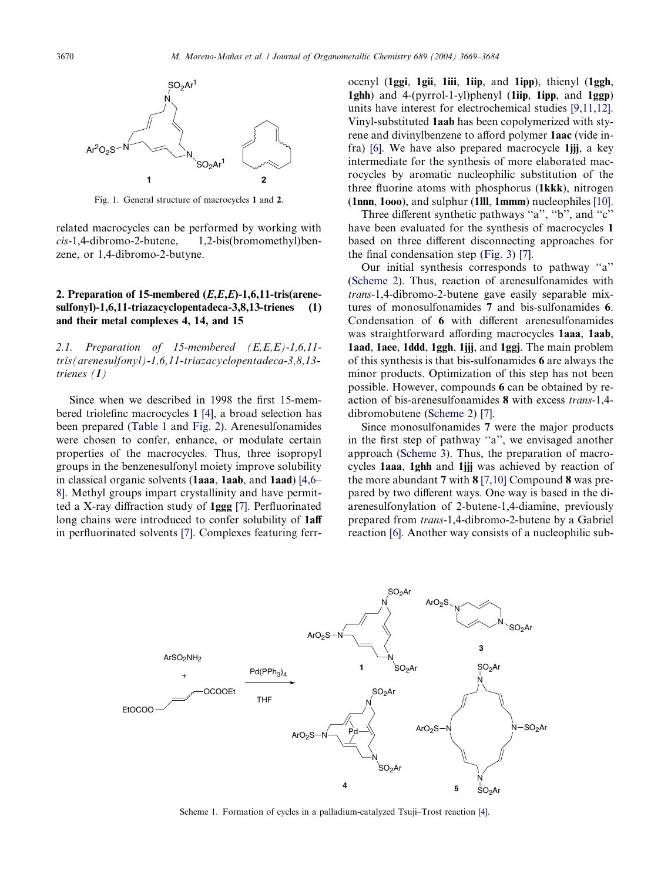<span id="page-1-0"></span>

Fig. 1. General structure of macrocycles 1 and 2.

related macrocycles can be performed by working with cis-1,4-dibromo-2-butene, 1,2-bis(bromomethyl)benzene, or 1,4-dibromo-2-butyne.

# 2. Preparation of 15-membered (E,E,E)-1,6,11-tris(arenesulfonyl)-1,6,11-triazacyclopentadeca-3,8,13-trienes (1) and their metal complexes 4, 14, and 15

2.1. Preparation of 15-membered (E,E,E)-1,6,11 tris(arenesulfonyl)-1,6,11-triazacyclopentadeca-3,8,13 trienes (1)

Since when we described in 1998 the first 15-membered triolefinc macrocycles 1 [\[4\]](#page-14-0), a broad selection has been prepared [\(Table 1](#page-2-0) and [Fig. 2\)](#page-2-0). Arenesulfonamides were chosen to confer, enhance, or modulate certain properties of the macrocycles. Thus, three isopropyl groups in the benzenesulfonyl moiety improve solubility in classical organic solvents (1aaa, 1aab, and 1aad) [\[4,6–](#page-14-0) [8\]](#page-14-0). Methyl groups impart crystallinity and have permitted a X-ray diffraction study of 1ggg [\[7\].](#page-14-0) Perfluorinated long chains were introduced to confer solubility of **1aff** in perfluorinated solvents [\[7\]](#page-14-0). Complexes featuring ferrocenyl (1ggi, 1gii, 1iii, 1iip, and 1ipp), thienyl (1ggh, 1ghh) and 4-(pyrrol-1-yl)phenyl (1iip, 1ipp, and 1ggp) units have interest for electrochemical studies [\[9,11,12\]](#page-14-0). Vinyl-substituted 1aab has been copolymerized with styrene and divinylbenzene to afford polymer 1aac (vide infra) [\[6\].](#page-14-0) We have also prepared macrocycle 1jjj, a key intermediate for the synthesis of more elaborated macrocycles by aromatic nucleophilic substitution of the three fluorine atoms with phosphorus (1kkk), nitrogen (1nnn, 1ooo), and sulphur (1lll, 1mmm) nucleophiles [\[10\]](#page-14-0).

Three different synthetic pathways ''a'', ''b'', and ''c'' have been evaluated for the synthesis of macrocycles 1 based on three different disconnecting approaches for the final condensation step ([Fig. 3](#page-3-0)) [\[7\]](#page-14-0).

Our initial synthesis corresponds to pathway ''a'' ([Scheme 2\)](#page-3-0). Thus, reaction of arenesulfonamides with trans-1,4-dibromo-2-butene gave easily separable mixtures of monosulfonamides 7 and bis-sulfonamides 6. Condensation of 6 with different arenesulfonamides was straightforward affording macrocycles 1aaa, 1aab, 1aad, 1aee, 1ddd, 1ggh, 1jjj, and 1ggj. The main problem of this synthesis is that bis-sulfonamides 6 are always the minor products. Optimization of this step has not been possible. However, compounds 6 can be obtained by reaction of bis-arenesulfonamides 8 with excess trans-1,4 dibromobutene ([Scheme 2](#page-3-0)) [\[7\]](#page-14-0).

Since monosulfonamides 7 were the major products in the first step of pathway ''a'', we envisaged another approach ([Scheme 3\)](#page-3-0). Thus, the preparation of macrocycles 1aaa, 1ghh and 1jjj was achieved by reaction of the more abundant 7 with 8 [\[7,10\]](#page-14-0) Compound 8 was prepared by two different ways. One way is based in the diarenesulfonylation of 2-butene-1,4-diamine, previously prepared from trans-1,4-dibromo-2-butene by a Gabriel reaction [\[6\]](#page-14-0). Another way consists of a nucleophilic sub-



Scheme 1. Formation of cycles in a palladium-catalyzed Tsuji–Trost reaction [\[4\]](#page-14-0).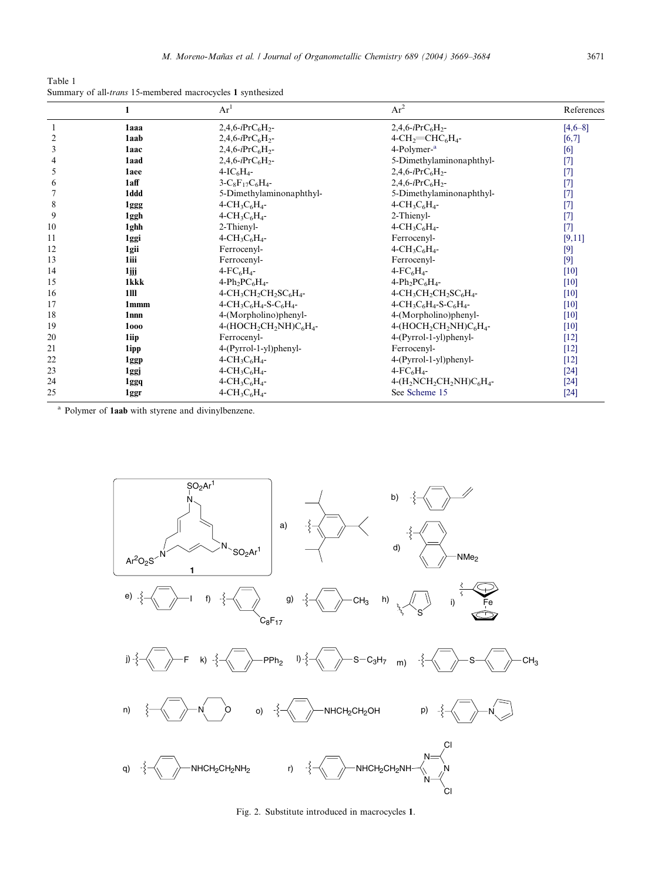<span id="page-2-0"></span>Table 1 Summary of all-trans 15-membered macrocycles 1 synthesized

| $\mathbf{1}$     | Ar <sup>1</sup>                                   | $Ar^2$                                                     | References                                                                            |
|------------------|---------------------------------------------------|------------------------------------------------------------|---------------------------------------------------------------------------------------|
| 1aaa             | $2,4,6-iPrC_6H_2$ -                               | 2,4,6- $iPrC_6H_2$ -                                       | $[4,6-8]$                                                                             |
| 1aab             | 2,4,6- $iPrC_6H_2$ -                              | $4$ -CH <sub>2</sub> $=$ CHC <sub>6</sub> H <sub>4</sub> - | [6,7]                                                                                 |
| 1aac             | $2,4,6-iPrC_6H_2$ -                               | 4-Polymer- <sup>a</sup>                                    | [6]                                                                                   |
| 1aad             | $2,4,6-iPrC_6H_2$                                 | 5-Dimethylaminonaphthyl-                                   | $[7]$                                                                                 |
| 1aee             | $4-I C6H4$ -                                      | $2,4,6-iPrC_6H_2$ -                                        | $[7]$                                                                                 |
| 1aff             | $3-C_8F_{17}C_6H_4$ -                             | 2,4,6- $iPrC_6H_2$ -                                       | $[7]$                                                                                 |
| 1ddd             | 5-Dimethylaminonaphthyl-                          | 5-Dimethylaminonaphthyl-                                   | $[7]$                                                                                 |
| 1ggg             | $4 - CH_3C_6H_4 -$                                | $4 - CH_3C_6H_4 -$                                         | $[7]$                                                                                 |
| 1ggh             | $4\text{-CH}_3\text{C}_6\text{H}_4$ -             |                                                            | $[7]$                                                                                 |
| 1ghh             | 2-Thienyl-                                        | $4 - CH_3C_6H_4 -$                                         | $[7]$                                                                                 |
| 1ggi             | 4-CH <sub>3</sub> C <sub>6</sub> H <sub>4</sub> - | Ferrocenyl-                                                | [9,11]                                                                                |
| 1gii             | Ferrocenyl-                                       | $4 - CH_3C_6H_4 -$                                         | $[9]$                                                                                 |
| 1iii             | Ferrocenyl-                                       | Ferrocenyl-                                                | $[9]$                                                                                 |
| 1jjj             |                                                   | $4$ -FC <sub>6</sub> H <sub>4</sub> -                      | $[10]$                                                                                |
| 1kkk             | $4-Ph_2PC_6H_4$ -                                 | $4-Ph_2PC_6H_4-$                                           | $[10]$                                                                                |
| 1III             |                                                   | $4-CH_3CH_2CH_2SC_6H_4-$                                   | [10]                                                                                  |
| 1 <sub>mmm</sub> | $4-CH_3C_6H_4-S-C_6H_4-$                          | $4-CH_3C_6H_4-S-C_6H_4-$                                   | $[10]$                                                                                |
| 1 <sub>nnn</sub> | 4-(Morpholino)phenyl-                             | 4-(Morpholino)phenyl-                                      | $[10]$                                                                                |
| 1000             | $4-(HOCH2CH2NH)C6H4$ -                            |                                                            | $[10]$                                                                                |
| 1iip             | Ferrocenyl-                                       | 4-(Pyrrol-1-yl)phenyl-                                     | $[12]$                                                                                |
| 1ipp             | 4-(Pyrrol-1-yl)phenyl-                            | Ferrocenyl-                                                | $[12]$                                                                                |
| 1ggp             | $4-CH_3C_6H_4-$                                   | 4-(Pyrrol-1-yl)phenyl-                                     | $[12]$                                                                                |
| 1ggj             | $4\text{-CH}_3\text{C}_6\text{H}_4$ -             | $4$ -FC <sub>6</sub> H <sub>4</sub> -                      | $[24]$                                                                                |
| 1ggq             | $4 - CH_3C_6H_4 -$                                | $4-(H_2NCH_2CH_2NH)C_6H_4$                                 | $[24]$                                                                                |
| 1ggr             | $4\text{-CH}_3\text{C}_6\text{H}_4$ -             | See Scheme 15                                              | $[24]$                                                                                |
|                  |                                                   | $4$ - $FC_6H_4$ -<br>$4-CH_3CH_2CH_2SC_6H_4-$              | 2-Thienyl-<br>4-(HOCH <sub>2</sub> CH <sub>2</sub> NH)C <sub>6</sub> H <sub>4</sub> - |

<sup>a</sup> Polymer of **1aab** with styrene and divinylbenzene.



Fig. 2. Substitute introduced in macrocycles 1.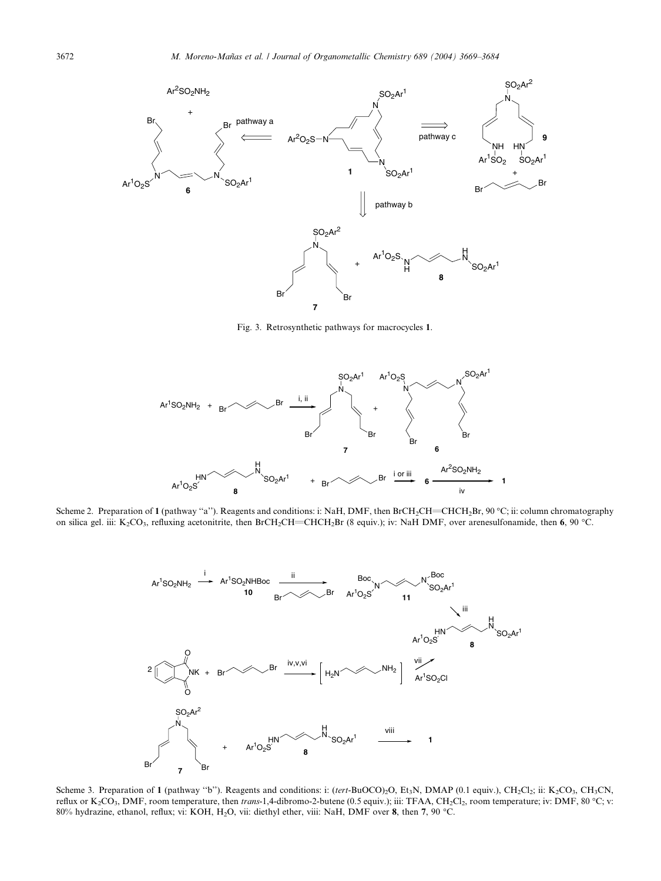<span id="page-3-0"></span>

Fig. 3. Retrosynthetic pathways for macrocycles 1.



Scheme 2. Preparation of 1 (pathway ''a''). Reagents and conditions: i: NaH, DMF, then BrCH2CH=CHCH2Br, 90 °C; ii: column chromatography on silica gel. iii: K<sub>2</sub>CO<sub>3</sub>, refluxing acetonitrite, then BrCH<sub>2</sub>CH=CHCH<sub>2</sub>Br (8 equiv.); iv: NaH DMF, over arenesulfonamide, then 6, 90 °C.



Scheme 3. Preparation of 1 (pathway "b"). Reagents and conditions: i: (tert-BuOCO)<sub>2</sub>O, Et<sub>3</sub>N, DMAP (0.1 equiv.), CH<sub>2</sub>Cl<sub>2</sub>; ii: K<sub>2</sub>CO<sub>3</sub>, CH<sub>3</sub>CN, reflux or  $K_2CO_3$ , DMF, room temperature, then trans-1,4-dibromo-2-butene (0.5 equiv.); iii: TFAA, CH<sub>2</sub>Cl<sub>2</sub>, room temperature; iv: DMF, 80 °C; v: 80% hydrazine, ethanol, reflux; vi: KOH, H<sub>2</sub>O, vii: diethyl ether, viii: NaH, DMF over 8, then 7, 90 °C.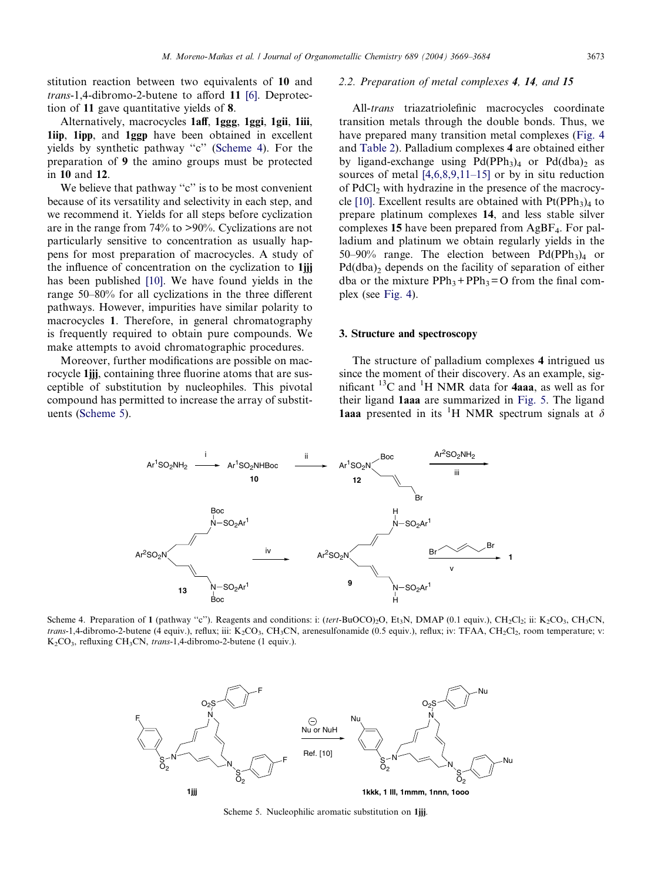stitution reaction between two equivalents of 10 and trans-1,4-dibromo-2-butene to afford 11 [\[6\].](#page-14-0) Deprotection of 11 gave quantitative yields of 8.

Alternatively, macrocycles 1aff, 1ggg, 1ggi, 1gii, 1iii, 1iip, 1ipp, and 1ggp have been obtained in excellent yields by synthetic pathway ''c'' (Scheme 4). For the preparation of 9 the amino groups must be protected in 10 and 12.

We believe that pathway "c" is to be most convenient because of its versatility and selectivity in each step, and we recommend it. Yields for all steps before cyclization are in the range from 74% to >90%. Cyclizations are not particularly sensitive to concentration as usually happens for most preparation of macrocycles. A study of the influence of concentration on the cyclization to 1jjj has been published [\[10\].](#page-14-0) We have found yields in the range 50–80% for all cyclizations in the three different pathways. However, impurities have similar polarity to macrocycles 1. Therefore, in general chromatography is frequently required to obtain pure compounds. We make attempts to avoid chromatographic procedures.

Moreover, further modifications are possible on macrocycle 1jjj, containing three fluorine atoms that are susceptible of substitution by nucleophiles. This pivotal compound has permitted to increase the array of substituents (Scheme 5).

#### 2.2. Preparation of metal complexes 4, 14, and 15

All-*trans* triazatriolefinic macrocycles coordinate transition metals through the double bonds. Thus, we have prepared many transition metal complexes [\(Fig. 4](#page-5-0) and [Table 2\)](#page-5-0). Palladium complexes 4 are obtained either by ligand-exchange using  $Pd(PPh<sub>3</sub>)<sub>4</sub>$  or  $Pd(dba)<sub>2</sub>$  as sources of metal [\[4,6,8,9,11–15\]](#page-14-0) or by in situ reduction of PdCl<sub>2</sub> with hydrazine in the presence of the macrocy-cle [\[10\]](#page-14-0). Excellent results are obtained with  $Pt(PPh<sub>3</sub>)<sub>4</sub>$  to prepare platinum complexes 14, and less stable silver complexes 15 have been prepared from AgBF4. For palladium and platinum we obtain regularly yields in the 50–90% range. The election between  $Pd(PPh<sub>3</sub>)<sub>4</sub>$  or  $Pd(dba)$  depends on the facility of separation of either dba or the mixture  $PPh_3+PPh_3=O$  from the final complex (see [Fig. 4\)](#page-5-0).

#### 3. Structure and spectroscopy

The structure of palladium complexes 4 intrigued us since the moment of their discovery. As an example, significant  $^{13}$ C and  $^{1}$ H NMR data for **4aaa**, as well as for their ligand 1aaa are summarized in [Fig. 5.](#page-5-0) The ligand 1aaa presented in its <sup>1</sup>H NMR spectrum signals at  $\delta$ 



Scheme 4. Preparation of 1 (pathway "c"). Reagents and conditions: i: (tert-BuOCO)<sub>2</sub>O, Et<sub>3</sub>N, DMAP (0.1 equiv.), CH<sub>2</sub>Cl<sub>2</sub>; ii: K<sub>2</sub>CO<sub>3</sub>, CH<sub>3</sub>CN, trans-1,4-dibromo-2-butene (4 equiv.), reflux; iii: K<sub>2</sub>CO<sub>3</sub>, CH<sub>3</sub>CN, arenesulfonamide (0.5 equiv.), reflux; iv: TFAA, CH<sub>2</sub>Cl<sub>2</sub>, room temperature; v:  $K_2CO_3$ , refluxing CH<sub>3</sub>CN, trans-1,4-dibromo-2-butene (1 equiv.).



Scheme 5. Nucleophilic aromatic substitution on 1jjj.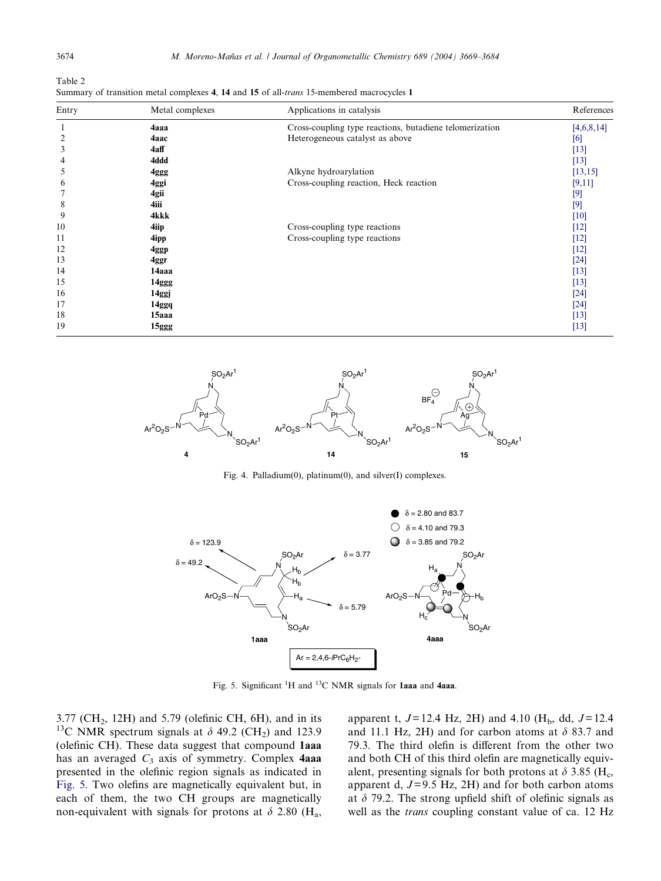<span id="page-5-0"></span>Table 2 Summary of transition metal complexes 4, 14 and 15 of all-trans 15-membered macrocycles 1

| Entry          | Metal complexes | Applications in catalysis                               | References |
|----------------|-----------------|---------------------------------------------------------|------------|
| -1             | 4aaa            | Cross-coupling type reactions, butadiene telomerization | [4,6,8,14] |
| $\overline{c}$ | 4aac            | Heterogeneous catalyst as above                         | [6]        |
| 3              | 4aff            |                                                         | $[13]$     |
| 4              | 4ddd            |                                                         | $[13]$     |
| 5              | 4ggg            | Alkyne hydroarylation                                   | [13, 15]   |
| 6              | 4ggi            | Cross-coupling reaction, Heck reaction                  | [9,11]     |
|                | 4gii            |                                                         | $[9]$      |
| 8              | 4iii            |                                                         | $[9]$      |
| 9              | 4kkk            |                                                         | $[10]$     |
| 10             | 4iip            | Cross-coupling type reactions                           | $[12]$     |
| 11             | 4ipp            | Cross-coupling type reactions                           | $[12]$     |
| 12             | 4ggp            |                                                         | $[12]$     |
| 13             | 4ggr            |                                                         | $[24]$     |
| 14             | 14aaa           |                                                         | $[13]$     |
| 15             | 14ggg           |                                                         | $[13]$     |
| 16             | 14ggj           |                                                         | $[24]$     |
| 17             | 14ggq           |                                                         | $[24]$     |
| 18             | 15aaa           |                                                         | $[13]$     |
| 19             | 15ggg           |                                                         | $[13]$     |



Fig. 4. Palladium(0), platinum(0), and silver(I) complexes.



Fig. 5. Significant  ${}^{1}H$  and  ${}^{13}C$  NMR signals for 1aaa and 4aaa.

 $3.77$  (CH<sub>2</sub>, 12H) and  $5.79$  (olefinic CH, 6H), and in its <sup>13</sup>C NMR spectrum signals at  $\delta$  49.2 (CH<sub>2</sub>) and 123.9 (olefinic CH). These data suggest that compound 1aaa has an averaged  $C_3$  axis of symmetry. Complex 4aaa presented in the olefinic region signals as indicated in Fig. 5. Two olefins are magnetically equivalent but, in each of them, the two CH groups are magnetically non-equivalent with signals for protons at  $\delta$  2.80 (H<sub>a</sub>, apparent t,  $J= 12.4$  Hz, 2H) and 4.10 (H<sub>b</sub>, dd,  $J= 12.4$ and 11.1 Hz, 2H) and for carbon atoms at  $\delta$  83.7 and 79.3. The third olefin is different from the other two and both CH of this third olefin are magnetically equivalent, presenting signals for both protons at  $\delta$  3.85 (H<sub>c</sub>, apparent d,  $J=9.5$  Hz, 2H) and for both carbon atoms at  $\delta$  79.2. The strong upfield shift of olefinic signals as well as the trans coupling constant value of ca. 12 Hz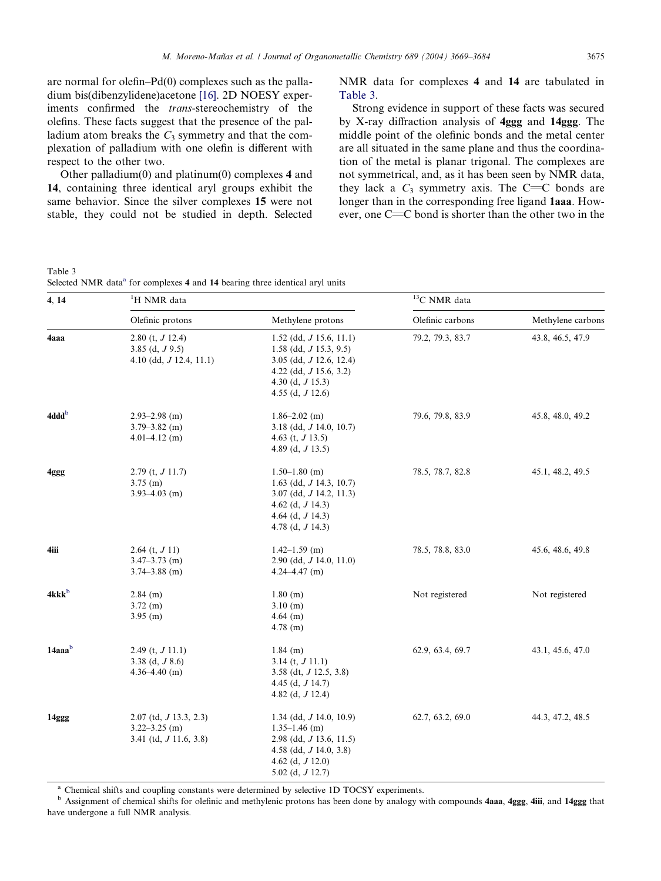are normal for olefin–Pd(0) complexes such as the palladium bis(dibenzylidene)acetone [\[16\].](#page-15-0) 2D NOESY experiments confirmed the trans-stereochemistry of the olefins. These facts suggest that the presence of the palladium atom breaks the  $C_3$  symmetry and that the complexation of palladium with one olefin is different with respect to the other two.

Other palladium(0) and platinum(0) complexes 4 and 14, containing three identical aryl groups exhibit the same behavior. Since the silver complexes 15 were not stable, they could not be studied in depth. Selected NMR data for complexes 4 and 14 are tabulated in Table 3.

Strong evidence in support of these facts was secured by X-ray diffraction analysis of 4ggg and 14ggg. The middle point of the olefinic bonds and the metal center are all situated in the same plane and thus the coordination of the metal is planar trigonal. The complexes are not symmetrical, and, as it has been seen by NMR data, they lack a  $C_3$  symmetry axis. The C=C bonds are longer than in the corresponding free ligand 1aaa. However, one  $C=C$  bond is shorter than the other two in the

Table 3 Selected NMR data<sup>a</sup> for complexes 4 and 14 bearing three identical aryl units

| 4, 14             | <sup>1</sup> H NMR data                                                     |                                                                                                                                                                   | <sup>13</sup> C NMR data |                   |
|-------------------|-----------------------------------------------------------------------------|-------------------------------------------------------------------------------------------------------------------------------------------------------------------|--------------------------|-------------------|
|                   | Olefinic protons                                                            | Methylene protons                                                                                                                                                 | Olefinic carbons         | Methylene carbons |
| 4aaa              | 2.80 (t, $J$ 12.4)<br>3.85 (d, $J$ 9.5)<br>4.10 (dd, $J$ 12.4, 11.1)        | $1.52$ (dd, <i>J</i> 15.6, 11.1)<br>1.58 (dd, $J$ 15.3, 9.5)<br>3.05 (dd, $J$ 12.6, 12.4)<br>4.22 (dd, $J$ 15.6, 3.2)<br>4.30 (d, $J$ 15.3)<br>4.55 (d, $J$ 12.6) | 79.2, 79.3, 83.7         | 43.8, 46.5, 47.9  |
| 4ddd <sup>b</sup> | $2.93 - 2.98$ (m)<br>$3.79 - 3.82$ (m)<br>$4.01 - 4.12$ (m)                 | $1.86 - 2.02$ (m)<br>3.18 (dd, $J$ 14.0, 10.7)<br>4.63 (t, $J$ 13.5)<br>4.89 (d, $J$ 13.5)                                                                        | 79.6, 79.8, 83.9         | 45.8, 48.0, 49.2  |
| 4ggg              | $2.79$ (t, $J$ 11.7)<br>$3.75$ (m)<br>$3.93 - 4.03$ (m)                     | $1.50 - 1.80$ (m)<br>1.63 (dd, $J$ 14.3, 10.7)<br>$3.07$ (dd, $J$ 14.2, 11.3)<br>4.62 (d, $J$ 14.3)<br>4.64 (d, $J$ 14.3)<br>4.78 (d, $J$ 14.3)                   | 78.5, 78.7, 82.8         | 45.1, 48.2, 49.5  |
| 4iii              | 2.64 $(t, J 11)$<br>$3.47 - 3.73$ (m)<br>$3.74 - 3.88$ (m)                  | $1.42 - 1.59$ (m)<br>$2.90$ (dd, $J$ 14.0, 11.0)<br>$4.24 - 4.47$ (m)                                                                                             | 78.5, 78.8, 83.0         | 45.6, 48.6, 49.8  |
| 4kkk <sup>b</sup> | $2.84$ (m)<br>$3.72$ (m)<br>$3.95$ (m)                                      | $1.80$ (m)<br>$3.10$ (m)<br>$4.64$ (m)<br>$4.78$ (m)                                                                                                              | Not registered           | Not registered    |
| 14aaab            | 2.49 (t, $J$ 11.1)<br>3.38 (d, $J$ 8.6)<br>$4.36 - 4.40$ (m)                | $1.84$ (m)<br>3.14 (t, $J$ 11.1)<br>3.58 (dt, $J$ 12.5, 3.8)<br>4.45 (d, $J$ 14.7)<br>4.82 (d, $J$ 12.4)                                                          | 62.9, 63.4, 69.7         | 43.1, 45.6, 47.0  |
| 14ggg             | $2.07$ (td, $J$ 13.3, 2.3)<br>$3.22 - 3.25$ (m)<br>3.41 (td, $J$ 11.6, 3.8) | 1.34 (dd, $J$ 14.0, 10.9)<br>$1.35 - 1.46$ (m)<br>$2.98$ (dd, J 13.6, 11.5)<br>4.58 (dd, $J$ 14.0, 3.8)<br>4.62 (d, $J$ 12.0)<br>5.02 (d, $J$ 12.7)               | 62.7, 63.2, 69.0         | 44.3, 47.2, 48.5  |

<sup>a</sup> Chemical shifts and coupling constants were determined by selective 1D TOCSY experiments.

<sup>b</sup> Assignment of chemical shifts for olefinic and methylenic protons has been done by analogy with compounds 4aaa, 4ggg, 4iii, and 14ggg that have undergone a full NMR analysis.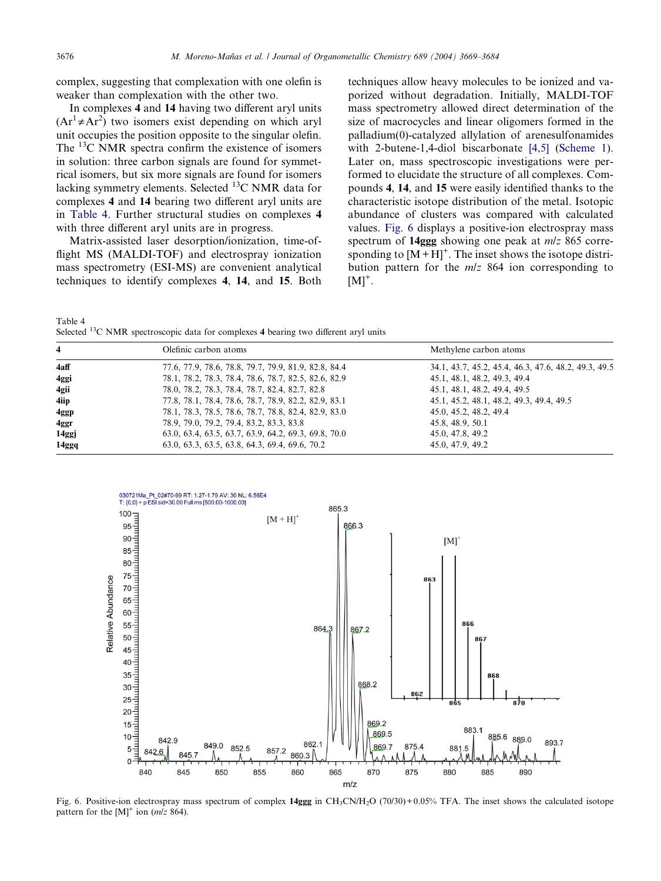complex, suggesting that complexation with one olefin is weaker than complexation with the other two.

In complexes 4 and 14 having two different aryl units  $(Ar^1 \neq Ar^2)$  two isomers exist depending on which aryl unit occupies the position opposite to the singular olefin. The <sup>13</sup>C NMR spectra confirm the existence of isomers in solution: three carbon signals are found for symmetrical isomers, but six more signals are found for isomers lacking symmetry elements. Selected  $^{13}$ C NMR data for complexes 4 and 14 bearing two different aryl units are in Table 4. Further structural studies on complexes 4 with three different aryl units are in progress.

Matrix-assisted laser desorption/ionization, time-offlight MS (MALDI-TOF) and electrospray ionization mass spectrometry (ESI-MS) are convenient analytical techniques to identify complexes 4, 14, and 15. Both techniques allow heavy molecules to be ionized and vaporized without degradation. Initially, MALDI-TOF mass spectrometry allowed direct determination of the size of macrocycles and linear oligomers formed in the palladium(0)-catalyzed allylation of arenesulfonamides with 2-butene-1,4-diol biscarbonate [\[4,5\]](#page-14-0) ([Scheme 1\)](#page-1-0). Later on, mass spectroscopic investigations were performed to elucidate the structure of all complexes. Compounds 4, 14, and 15 were easily identified thanks to the characteristic isotope distribution of the metal. Isotopic abundance of clusters was compared with calculated values. Fig. 6 displays a positive-ion electrospray mass spectrum of 14ggg showing one peak at *m/z* 865 corresponding to  $[M+H]^{+}$ . The inset shows the isotope distribution pattern for the  $m/z$  864 ion corresponding to  $[M]^+$ .

Table 4 Selected <sup>13</sup>C NMR spectroscopic data for complexes 4 bearing two different aryl units

| $\overline{\mathbf{4}}$ | Olefinic carbon atoms                                | Methylene carbon atoms                               |
|-------------------------|------------------------------------------------------|------------------------------------------------------|
| 4aff                    | 77.6, 77.9, 78.6, 78.8, 79.7, 79.9, 81.9, 82.8, 84.4 | 34.1, 43.7, 45.2, 45.4, 46.3, 47.6, 48.2, 49.3, 49.5 |
| 4ggi                    | 78.1, 78.2, 78.3, 78.4, 78.6, 78.7, 82.5, 82.6, 82.9 | 45.1, 48.1, 48.2, 49.3, 49.4                         |
| 4gii                    | 78.0, 78.2, 78.3, 78.4, 78.7, 82.4, 82.7, 82.8       | 45.1, 48.1, 48.2, 49.4, 49.5                         |
| 4iip                    | 77.8, 78.1, 78.4, 78.6, 78.7, 78.9, 82.2, 82.9, 83.1 | 45.1, 45.2, 48.1, 48.2, 49.3, 49.4, 49.5             |
| 4ggp                    | 78.1, 78.3, 78.5, 78.6, 78.7, 78.8, 82.4, 82.9, 83.0 | 45.0, 45.2, 48.2, 49.4                               |
| 4ggr                    | 78.9, 79.0, 79.2, 79.4, 83.2, 83.3, 83.8             | 45.8, 48.9, 50.1                                     |
| 14ggj                   | 63.0, 63.4, 63.5, 63.7, 63.9, 64.2, 69.3, 69.8, 70.0 | 45.0, 47.8, 49.2                                     |
| 14ggq                   | 63.0, 63.3, 63.5, 63.8, 64.3, 69.4, 69.6, 70.2       | 45.0, 47.9, 49.2                                     |



Fig. 6. Positive-ion electrospray mass spectrum of complex  $14ggg$  in CH<sub>3</sub>CN/H<sub>2</sub>O (70/30)+0.05% TFA. The inset shows the calculated isotope pattern for the  $[M]^{+}$  ion (*m/z* 864).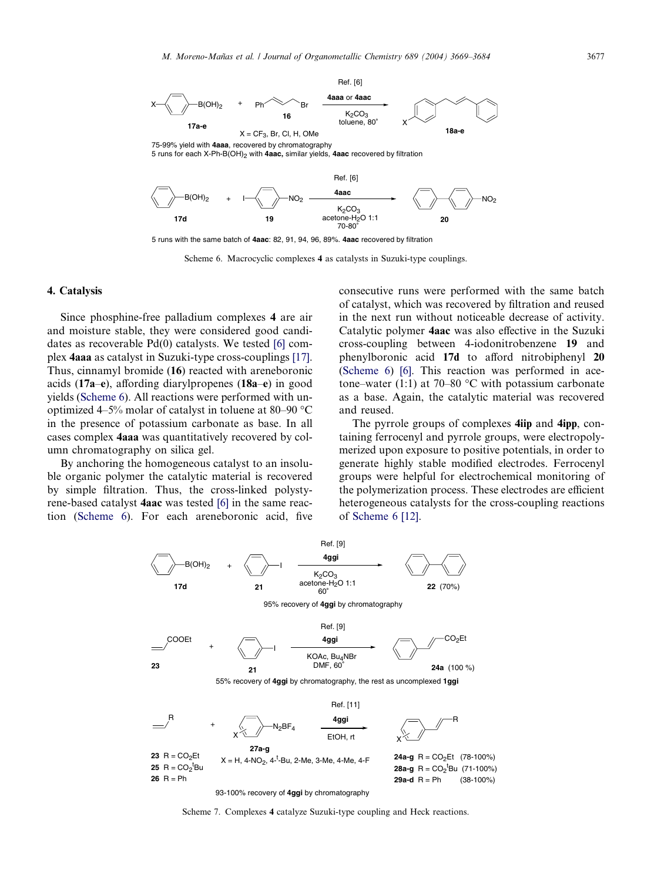<span id="page-8-0"></span>

5 runs with the same batch of **4aac**: 82, 91, 94, 96, 89%. **4aac** recovered by filtration

Scheme 6. Macrocyclic complexes 4 as catalysts in Suzuki-type couplings.

#### 4. Catalysis

Since phosphine-free palladium complexes 4 are air and moisture stable, they were considered good candidates as recoverable Pd(0) catalysts. We tested [\[6\]](#page-14-0) complex 4aaa as catalyst in Suzuki-type cross-couplings [\[17\].](#page-15-0) Thus, cinnamyl bromide (16) reacted with areneboronic acids (17a–e), affording diarylpropenes (18a–e) in good yields (Scheme 6). All reactions were performed with unoptimized 4–5% molar of catalyst in toluene at 80–90  $\rm{^{\circ}C}$ in the presence of potassium carbonate as base. In all cases complex 4aaa was quantitatively recovered by column chromatography on silica gel.

By anchoring the homogeneous catalyst to an insoluble organic polymer the catalytic material is recovered by simple filtration. Thus, the cross-linked polystyrene-based catalyst 4aac was tested [\[6\]](#page-14-0) in the same reaction (Scheme 6). For each areneboronic acid, five consecutive runs were performed with the same batch of catalyst, which was recovered by filtration and reused in the next run without noticeable decrease of activity. Catalytic polymer 4aac was also effective in the Suzuki cross-coupling between 4-iodonitrobenzene 19 and phenylboronic acid 17d to afford nitrobiphenyl 20 (Scheme 6) [\[6\].](#page-14-0) This reaction was performed in acetone–water (1:1) at 70–80  $\degree$ C with potassium carbonate as a base. Again, the catalytic material was recovered and reused.

The pyrrole groups of complexes 4iip and 4ipp, containing ferrocenyl and pyrrole groups, were electropolymerized upon exposure to positive potentials, in order to generate highly stable modified electrodes. Ferrocenyl groups were helpful for electrochemical monitoring of the polymerization process. These electrodes are efficient heterogeneous catalysts for the cross-coupling reactions of Scheme 6 [\[12\]](#page-14-0).



93-100% recovery of **4ggi** by chromatography

Scheme 7. Complexes 4 catalyze Suzuki-type coupling and Heck reactions.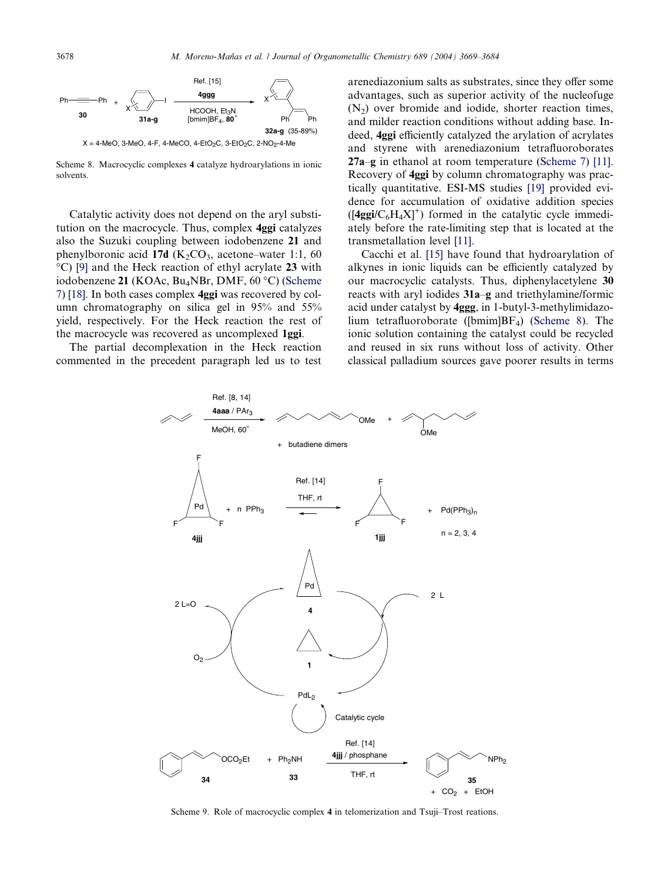<span id="page-9-0"></span>

Scheme 8. Macrocyclic complexes 4 catalyze hydroarylations in ionic solvents.

Catalytic activity does not depend on the aryl substitution on the macrocycle. Thus, complex 4ggi catalyzes also the Suzuki coupling between iodobenzene 21 and phenylboronic acid 17d  $(K_2CO_3,$  acetone–water 1:1, 60 -C) [\[9\]](#page-14-0) and the Heck reaction of ethyl acrylate 23 with iodobenzene 21 (KOAc, Bu<sub>4</sub>NBr, DMF, 60 °C) [\(Scheme](#page-8-0) [7\)](#page-8-0) [\[18\].](#page-15-0) In both cases complex 4ggi was recovered by column chromatography on silica gel in 95% and 55% yield, respectively. For the Heck reaction the rest of the macrocycle was recovered as uncomplexed 1ggi.

The partial decomplexation in the Heck reaction commented in the precedent paragraph led us to test arenediazonium salts as substrates, since they offer some advantages, such as superior activity of the nucleofuge  $(N<sub>2</sub>)$  over bromide and iodide, shorter reaction times, and milder reaction conditions without adding base. Indeed, 4ggi efficiently catalyzed the arylation of acrylates and styrene with arenediazonium tetrafluoroborates 27a–g in ethanol at room temperature ([Scheme 7\)](#page-8-0) [\[11\]](#page-14-0). Recovery of 4ggi by column chromatography was practically quantitative. ESI-MS studies [\[19\]](#page-15-0) provided evidence for accumulation of oxidative addition species  $(I4ggi/C<sub>6</sub>H<sub>4</sub>XI<sup>+</sup>)$  formed in the catalytic cycle immediately before the rate-limiting step that is located at the transmetallation level [\[11\].](#page-14-0)

Cacchi et al. [\[15\]](#page-14-0) have found that hydroarylation of alkynes in ionic liquids can be efficiently catalyzed by our macrocyclic catalysts. Thus, diphenylacetylene 30 reacts with aryl iodides 31a–g and triethylamine/formic acid under catalyst by 4ggg, in 1-butyl-3-methylimidazolium tetrafluoroborate ([bmim]BF4) (Scheme 8). The ionic solution containing the catalyst could be recycled and reused in six runs without loss of activity. Other classical palladium sources gave poorer results in terms



Scheme 9. Role of macrocyclic complex 4 in telomerization and Tsuji–Trost reations.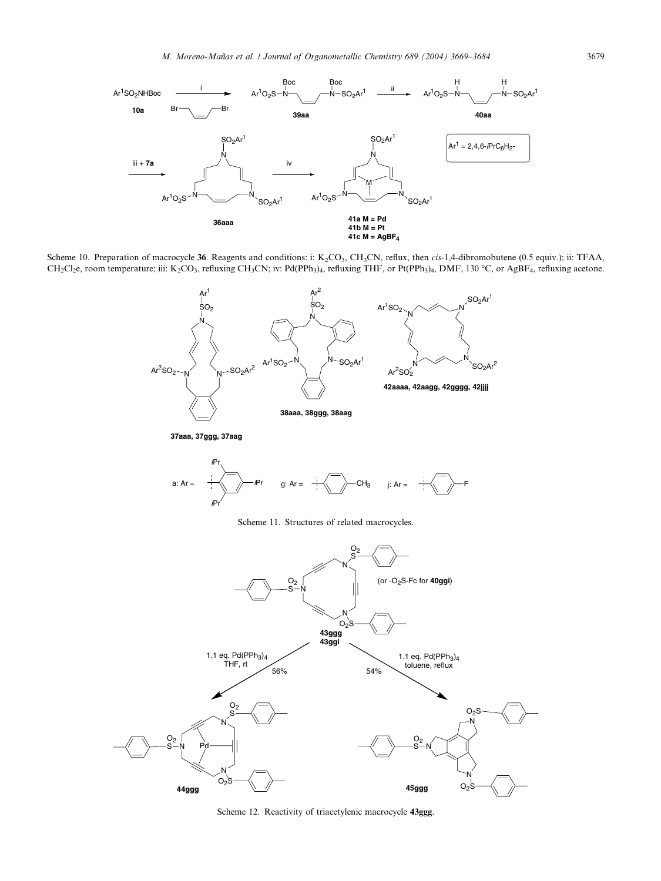<span id="page-10-0"></span>

Scheme 10. Preparation of macrocycle 36. Reagents and conditions: i: K<sub>2</sub>CO<sub>3</sub>, CH<sub>3</sub>CN, reflux, then *cis*-1,4-dibromobutene (0.5 equiv.); ii: TFAA, CH<sub>2</sub>Cl<sub>2</sub>e, room temperature; iii: K<sub>2</sub>CO<sub>3</sub>, refluxing CH<sub>3</sub>CN; iv: Pd(PPh<sub>3</sub>)<sub>4</sub>, refluxing THF, or Pt(PPh<sub>3</sub>)<sub>4</sub>, DMF, 130 °C, or AgBF<sub>4</sub>, refluxing acetone.



**37aaa, 37ggg, 37aag**



Scheme 11. Structures of related macrocycles.



Scheme 12. Reactivity of triacetylenic macrocycle 43ggg.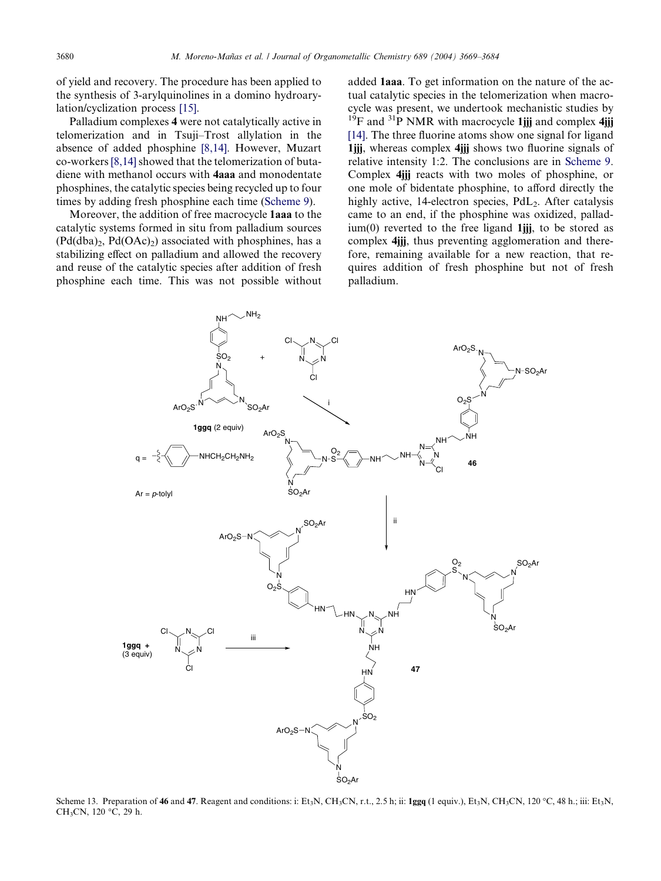<span id="page-11-0"></span>of yield and recovery. The procedure has been applied to the synthesis of 3-arylquinolines in a domino hydroarylation/cyclization process [\[15\]](#page-14-0).

Palladium complexes 4 were not catalytically active in telomerization and in Tsuji–Trost allylation in the absence of added phosphine [\[8,14\]](#page-14-0). However, Muzart co-workers [\[8,14\]](#page-14-0) showed that the telomerization of butadiene with methanol occurs with 4aaa and monodentate phosphines, the catalytic species being recycled up to four times by adding fresh phosphine each time [\(Scheme 9\)](#page-9-0).

Moreover, the addition of free macrocycle 1aaa to the catalytic systems formed in situ from palladium sources  $(Pd(dba)<sub>2</sub>, Pd(OAc)<sub>2</sub>)$  associated with phosphines, has a stabilizing effect on palladium and allowed the recovery and reuse of the catalytic species after addition of fresh phosphine each time. This was not possible without added 1aaa. To get information on the nature of the actual catalytic species in the telomerization when macrocycle was present, we undertook mechanistic studies by  $19F$  and  $31P$  NMR with macrocycle 1jjj and complex 4jjj [\[14\]](#page-14-0). The three fluorine atoms show one signal for ligand 1jjj, whereas complex 4jjj shows two fluorine signals of relative intensity 1:2. The conclusions are in [Scheme 9](#page-9-0). Complex 4jjj reacts with two moles of phosphine, or one mole of bidentate phosphine, to afford directly the highly active, 14-electron species,  $PdL<sub>2</sub>$ . After catalysis came to an end, if the phosphine was oxidized, pallad- $\lim(0)$  reverted to the free ligand 1jij, to be stored as complex 4*iii*, thus preventing agglomeration and therefore, remaining available for a new reaction, that requires addition of fresh phosphine but not of fresh palladium.



Scheme 13. Preparation of 46 and 47. Reagent and conditions: i: Et<sub>3</sub>N, CH<sub>3</sub>CN, r.t., 2.5 h; ii: 1ggq (1 equiv.), Et<sub>3</sub>N, CH<sub>3</sub>CN, 120 °C, 48 h.; iii: Et<sub>3</sub>N, CH<sub>3</sub>CN, 120 °C, 29 h.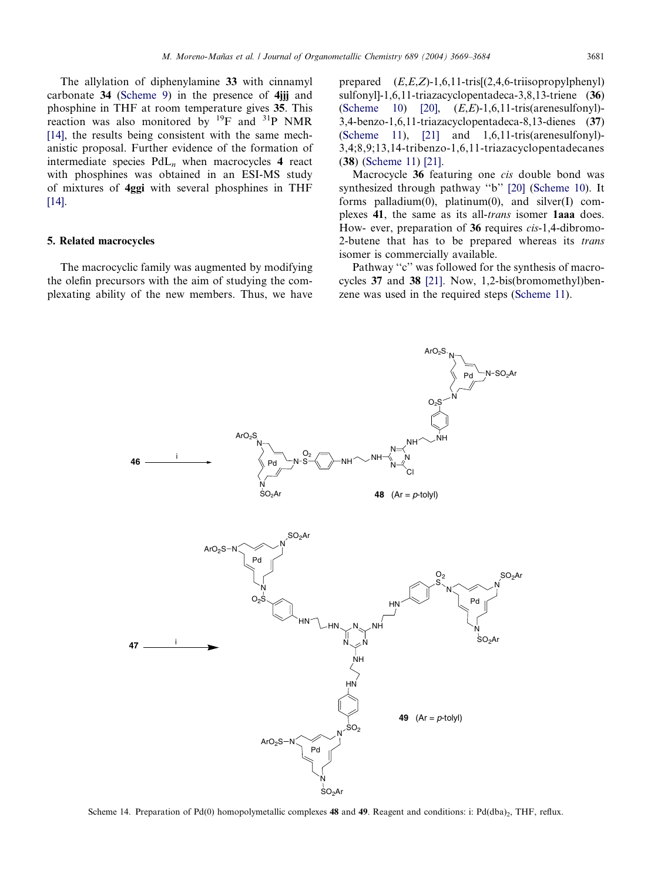<span id="page-12-0"></span>The allylation of diphenylamine 33 with cinnamyl carbonate 34 ([Scheme 9](#page-9-0)) in the presence of 4jjj and phosphine in THF at room temperature gives 35. This reaction was also monitored by  $^{19}F$  and  $^{31}P$  NMR [\[14\],](#page-14-0) the results being consistent with the same mechanistic proposal. Further evidence of the formation of intermediate species  $PdL_n$  when macrocycles 4 react with phosphines was obtained in an ESI-MS study of mixtures of 4ggi with several phosphines in THF [\[14\].](#page-14-0)

## 5. Related macrocycles

The macrocyclic family was augmented by modifying the olefin precursors with the aim of studying the complexating ability of the new members. Thus, we have prepared  $(E,E,Z)$ -1,6,11-tris $[(2,4,6-1.00)$ triisopropylphenyl sulfonyl]-1,6,11-triazacyclopentadeca-3,8,13-triene (36) ([Scheme 10](#page-10-0))  $[20]$ ,  $(E,E)-1,6,11-\text{tris}(arenesulfonyl)$ -3,4-benzo-1,6,11-triazacyclopentadeca-8,13-dienes (37) ([Scheme 11\)](#page-10-0), [\[21\]](#page-15-0) and 1,6,11-tris(arenesulfonyl)- 3,4;8,9;13,14-tribenzo-1,6,11-triazacyclopentadecanes (38) ([Scheme 11](#page-10-0)) [\[21\]](#page-15-0).

Macrocycle 36 featuring one cis double bond was synthesized through pathway ''b'' [\[20\]](#page-15-0) ([Scheme 10](#page-10-0)). It forms palladium(0), platinum(0), and silver(I) complexes 41, the same as its all-trans isomer 1aaa does. How- ever, preparation of 36 requires cis-1,4-dibromo-2-butene that has to be prepared whereas its trans isomer is commercially available.

Pathway "c" was followed for the synthesis of macrocycles 37 and 38 [\[21\].](#page-15-0) Now, 1,2-bis(bromomethyl)benzene was used in the required steps ([Scheme 11\)](#page-10-0).



Scheme 14. Preparation of Pd(0) homopolymetallic complexes 48 and 49. Reagent and conditions: i: Pd(dba)<sub>2</sub>, THF, reflux.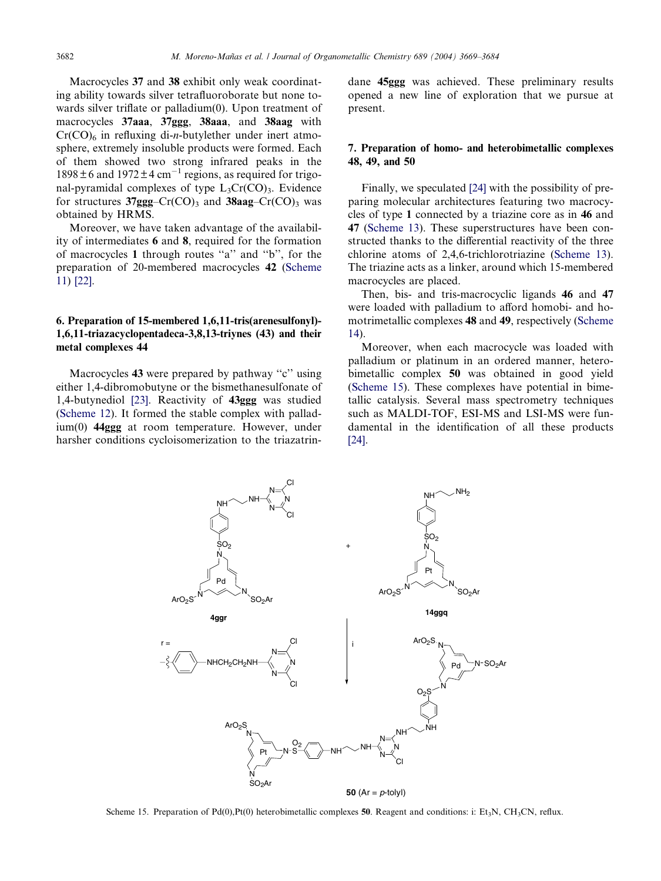<span id="page-13-0"></span>Macrocycles 37 and 38 exhibit only weak coordinating ability towards silver tetrafluoroborate but none towards silver triflate or palladium(0). Upon treatment of macrocycles 37aaa, 37ggg, 38aaa, and 38aag with  $Cr(CO)<sub>6</sub>$  in refluxing di-*n*-butylether under inert atmosphere, extremely insoluble products were formed. Each of them showed two strong infrared peaks in the  $1898 \pm 6$  and  $1972 \pm 4$  cm<sup>-1</sup> regions, as required for trigonal-pyramidal complexes of type  $L_3Cr(CO)_3$ . Evidence for structures  $37ggg$ –Cr(CO)<sub>3</sub> and  $38aag$ –Cr(CO)<sub>3</sub> was obtained by HRMS.

Moreover, we have taken advantage of the availability of intermediates 6 and 8, required for the formation of macrocycles 1 through routes ''a'' and ''b'', for the preparation of 20-membered macrocycles 42 [\(Scheme](#page-10-0) [11\)](#page-10-0) [\[22\].](#page-15-0)

# 6. Preparation of 15-membered 1,6,11-tris(arenesulfonyl)- 1,6,11-triazacyclopentadeca-3,8,13-triynes (43) and their metal complexes 44

Macrocycles 43 were prepared by pathway "c" using either 1,4-dibromobutyne or the bismethanesulfonate of 1,4-butynediol [\[23\].](#page-15-0) Reactivity of 43ggg was studied ([Scheme 12\)](#page-10-0). It formed the stable complex with palladium(0) 44ggg at room temperature. However, under harsher conditions cycloisomerization to the triazatrindane 45ggg was achieved. These preliminary results opened a new line of exploration that we pursue at present.

## 7. Preparation of homo- and heterobimetallic complexes 48, 49, and 50

Finally, we speculated [\[24\]](#page-15-0) with the possibility of preparing molecular architectures featuring two macrocycles of type 1 connected by a triazine core as in 46 and 47 [\(Scheme 13\)](#page-11-0). These superstructures have been constructed thanks to the differential reactivity of the three chlorine atoms of 2,4,6-trichlorotriazine [\(Scheme 13\)](#page-11-0). The triazine acts as a linker, around which 15-membered macrocycles are placed.

Then, bis- and tris-macrocyclic ligands 46 and 47 were loaded with palladium to afford homobi- and homotrimetallic complexes 48 and 49, respectively [\(Scheme](#page-12-0) [14\)](#page-12-0).

Moreover, when each macrocycle was loaded with palladium or platinum in an ordered manner, heterobimetallic complex 50 was obtained in good yield (Scheme 15). These complexes have potential in bimetallic catalysis. Several mass spectrometry techniques such as MALDI-TOF, ESI-MS and LSI-MS were fundamental in the identification of all these products [\[24\]](#page-15-0).



Scheme 15. Preparation of Pd(0), Pt(0) heterobimetallic complexes 50. Reagent and conditions: i: Et<sub>3</sub>N, CH<sub>3</sub>CN, reflux.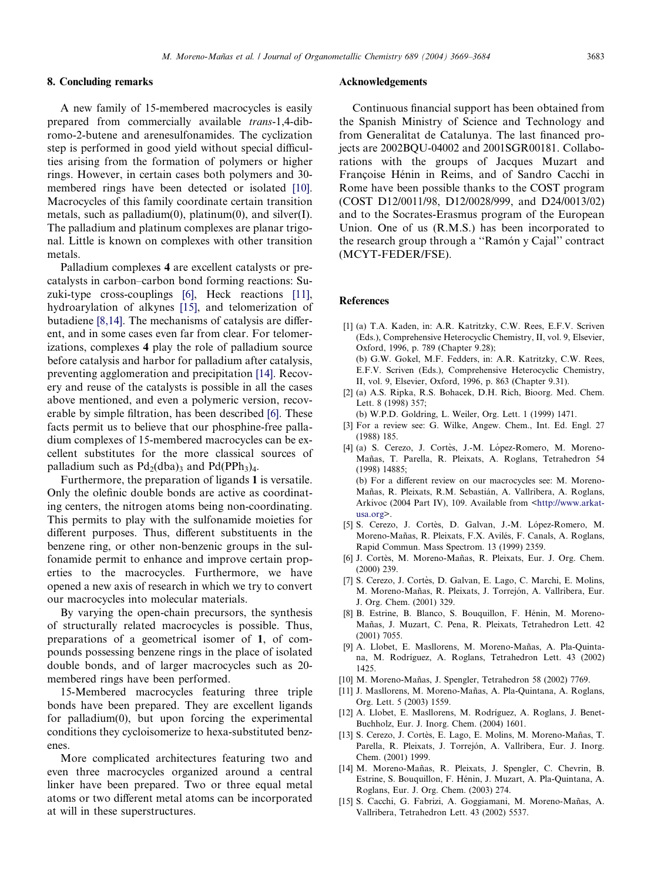## <span id="page-14-0"></span>8. Concluding remarks

A new family of 15-membered macrocycles is easily prepared from commercially available trans-1,4-dibromo-2-butene and arenesulfonamides. The cyclization step is performed in good yield without special difficulties arising from the formation of polymers or higher rings. However, in certain cases both polymers and 30 membered rings have been detected or isolated [10]. Macrocycles of this family coordinate certain transition metals, such as palladium $(0)$ , platinum $(0)$ , and silver $(I)$ . The palladium and platinum complexes are planar trigonal. Little is known on complexes with other transition metals.

Palladium complexes 4 are excellent catalysts or precatalysts in carbon–carbon bond forming reactions: Suzuki-type cross-couplings [6], Heck reactions [11], hydroarylation of alkynes [15], and telomerization of butadiene [8,14]. The mechanisms of catalysis are different, and in some cases even far from clear. For telomerizations, complexes 4 play the role of palladium source before catalysis and harbor for palladium after catalysis, preventing agglomeration and precipitation [14]. Recovery and reuse of the catalysts is possible in all the cases above mentioned, and even a polymeric version, recoverable by simple filtration, has been described [6]. These facts permit us to believe that our phosphine-free palladium complexes of 15-membered macrocycles can be excellent substitutes for the more classical sources of palladium such as  $Pd_2(dba)$ <sub>3</sub> and  $Pd(PPh_3)_4$ .

Furthermore, the preparation of ligands 1 is versatile. Only the olefinic double bonds are active as coordinating centers, the nitrogen atoms being non-coordinating. This permits to play with the sulfonamide moieties for different purposes. Thus, different substituents in the benzene ring, or other non-benzenic groups in the sulfonamide permit to enhance and improve certain properties to the macrocycles. Furthermore, we have opened a new axis of research in which we try to convert our macrocycles into molecular materials.

By varying the open-chain precursors, the synthesis of structurally related macrocycles is possible. Thus, preparations of a geometrical isomer of 1, of compounds possessing benzene rings in the place of isolated double bonds, and of larger macrocycles such as 20 membered rings have been performed.

15-Membered macrocycles featuring three triple bonds have been prepared. They are excellent ligands for palladium(0), but upon forcing the experimental conditions they cycloisomerize to hexa-substituted benzenes.

More complicated architectures featuring two and even three macrocycles organized around a central linker have been prepared. Two or three equal metal atoms or two different metal atoms can be incorporated at will in these superstructures.

#### Acknowledgements

Continuous financial support has been obtained from the Spanish Ministry of Science and Technology and from Generalitat de Catalunya. The last financed projects are 2002BQU-04002 and 2001SGR00181. Collaborations with the groups of Jacques Muzart and Françoise Hénin in Reims, and of Sandro Cacchi in Rome have been possible thanks to the COST program (COST D12/0011/98, D12/0028/999, and D24/0013/02) and to the Socrates-Erasmus program of the European Union. One of us (R.M.S.) has been incorporated to the research group through a "Ramón y Cajal" contract (MCYT-FEDER/FSE).

#### **References**

- [1] (a) T.A. Kaden, in: A.R. Katritzky, C.W. Rees, E.F.V. Scriven (Eds.), Comprehensive Heterocyclic Chemistry, II, vol. 9, Elsevier, Oxford, 1996, p. 789 (Chapter 9.28); (b) G.W. Gokel, M.F. Fedders, in: A.R. Katritzky, C.W. Rees, E.F.V. Scriven (Eds.), Comprehensive Heterocyclic Chemistry, II, vol. 9, Elsevier, Oxford, 1996, p. 863 (Chapter 9.31).
- [2] (a) A.S. Ripka, R.S. Bohacek, D.H. Rich, Bioorg. Med. Chem. Lett. 8 (1998) 357;

(b) W.P.D. Goldring, L. Weiler, Org. Lett. 1 (1999) 1471.

- [3] For a review see: G. Wilke, Angew. Chem., Int. Ed. Engl. 27 (1988) 185.
- [4] (a) S. Cerezo, J. Cortès, J.-M. López-Romero, M. Moreno-Mañas, T. Parella, R. Pleixats, A. Roglans, Tetrahedron 54 (1998) 14885; (b) For a different review on our macrocycles see: M. Moreno-Mañas, R. Pleixats, R.M. Sebastián, A. Vallribera, A. Roglans,

Arkivoc (2004 Part IV), 109. Available from <[http://www.arkat](http://www.arkat-usa.org)[usa.org>](http://www.arkat-usa.org). [5] S. Cerezo, J. Cortès, D. Galvan, J.-M. López-Romero, M.

- Moreno-Mañas, R. Pleixats, F.X. Avilés, F. Canals, A. Roglans, Rapid Commun. Mass Spectrom. 13 (1999) 2359.
- [6] J. Cortès, M. Moreno-Mañas, R. Pleixats, Eur. J. Org. Chem. (2000) 239.
- [7] S. Cerezo, J. Cortès, D. Galvan, E. Lago, C. Marchi, E. Molins, M. Moreno-Mañas, R. Pleixats, J. Torrejón, A. Vallribera, Eur. J. Org. Chem. (2001) 329.
- [8] B. Estrine, B. Blanco, S. Bouquillon, F. Hénin, M. Moreno-Mañas, J. Muzart, C. Pena, R. Pleixats, Tetrahedron Lett. 42 (2001) 7055.
- [9] A. Llobet, E. Masllorens, M. Moreno-Mañas, A. Pla-Quintana, M. Rodríguez, A. Roglans, Tetrahedron Lett. 43 (2002) 1425.
- [10] M. Moreno-Mañas, J. Spengler, Tetrahedron 58 (2002) 7769.
- [11] J. Masllorens, M. Moreno-Mañas, A. Pla-Quintana, A. Roglans, Org. Lett. 5 (2003) 1559.
- [12] A. Llobet, E. Masllorens, M. Rodríguez, A. Roglans, J. Benet-Buchholz, Eur. J. Inorg. Chem. (2004) 1601.
- [13] S. Cerezo, J. Cortès, E. Lago, E. Molins, M. Moreno-Mañas, T. Parella, R. Pleixats, J. Torrejón, A. Vallribera, Eur. J. Inorg. Chem. (2001) 1999.
- [14] M. Moreno-Mañas, R. Pleixats, J. Spengler, C. Chevrin, B. Estrine, S. Bouquillon, F. Hénin, J. Muzart, A. Pla-Quintana, A. Roglans, Eur. J. Org. Chem. (2003) 274.
- [15] S. Cacchi, G. Fabrizi, A. Goggiamani, M. Moreno-Mañas, A. Vallribera, Tetrahedron Lett. 43 (2002) 5537.